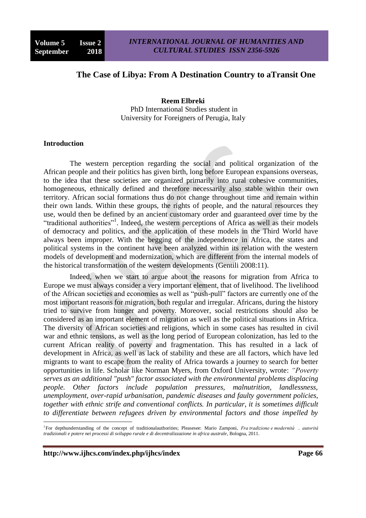# **The Case of Libya: From A Destination Country to aTransit One**

**Reem Elbreki**  PhD International Studies student in University for Foreigners of Perugia, Italy

#### **Introduction**

The western perception regarding the social and political organization of the African people and their politics has given birth, long before European expansions overseas, to the idea that these societies are organized primarily into rural cohesive communities, homogeneous, ethnically defined and therefore necessarily also stable within their own territory. African social formations thus do not change throughout time and remain within their own lands. Within these groups, the rights of people, and the natural resources they use, would then be defined by an ancient customary order and guaranteed over time by the "traditional authorities"<sup>1</sup>. Indeed, the western perceptions of Africa as well as their models of democracy and politics, and the application of these models in the Third World have always been improper. With the begging of the independence in Africa, the states and political systems in the continent have been analyzed within its relation with the western models of development and modernization, which are different from the internal models of the historical transformation of the western developments (Gentili 2008:11).

Indeed, when we start to argue about the reasons for migration from Africa to Europe we must always consider a very important element, that of livelihood. The livelihood of the African societies and economies as well as "push-pull" factors are currently one of the most important reasons for migration, both regular and irregular. Africans, during the history tried to survive from hunger and poverty. Moreover, social restrictions should also be considered as an important element of migration as well as the political situations in Africa. The diversity of African societies and religions, which in some cases has resulted in civil war and ethnic tensions, as well as the long period of European colonization, has led to the current African reality of poverty and fragmentation. This has resulted in a lack of development in Africa, as well as lack of stability and these are all factors, which have led migrants to want to escape from the reality of Africa towards a journey to search for better opportunities in life. Scholar like Norman Myers, from Oxford University, wrote: *"Poverty serves as an additional "push" factor associated with the environmental problems displacing people. Other factors include population pressures, malnutrition, landlessness, unemployment, over-rapid urbanisation, pandemic diseases and faulty government policies, together with ethnic strife and conventional conflicts. In particular, it is sometimes difficult to differentiate between refugees driven by environmental factors and those impelled by* 

**http://www.ijhcs.com/index.php/ijhcs/index Page 66**

1

<sup>1</sup> For depthunderstanding of the concept of traditionalauthorities; Pleasesee: Mario Zamponi, *Fra tradizione e modernità . autorità tradizionali e potere nei processi di sviluppo rurale e di decentralizzazione in africa australe*, Bologna, 2011.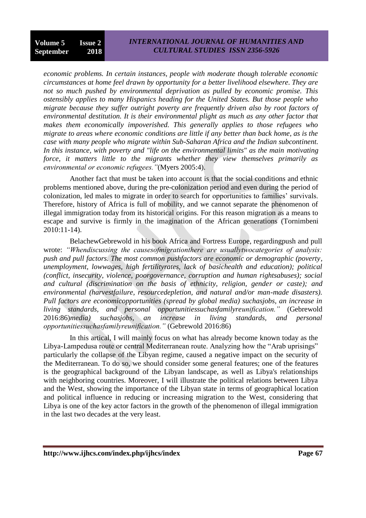### *INTERNATIONAL JOURNAL OF HUMANITIES AND CULTURAL STUDIES ISSN 2356-5926*

*economic problems. In certain instances, people with moderate though tolerable economic circumstances at home feel drawn by opportunity for a better livelihood elsewhere. They are not so much pushed by environmental deprivation as pulled by economic promise. This ostensibly applies to many Hispanics heading for the United States. But those people who migrate because they suffer outright poverty are frequently driven also by root factors of environmental destitution. It is their environmental plight as much as any other factor that makes them economically impoverished. This generally applies to those refugees who migrate to areas where economic conditions are little if any better than back home, as is the case with many people who migrate within Sub-Saharan Africa and the Indian subcontinent. In this instance, with poverty and "life on the environmental limits" as the main motivating force, it matters little to the migrants whether they view themselves primarily as environmental or economic refugees."*(Myers 2005:4).

Another fact that must be taken into account is that the social conditions and ethnic problems mentioned above, during the pre-colonization period and even during the period of colonization, led males to migrate in order to search for opportunities to families' survivals. Therefore, history of Africa is full of mobility, and we cannot separate the phenomenon of illegal immigration today from its historical origins. For this reason migration as a means to escape and survive is firmly in the imagination of the African generations (Tornimbeni 2010:11-14).

BelachewGebrewold in his book Africa and Fortress Europe, regardingpush and pull wrote: *"Whendiscussing the causesofmigrationthere are usuallytwocategories of analysis: push and pull factors. The most common pushfactors are economic or demographic (poverty, unemployment, lowwages, high fertilityrates, lack of basichealth and education); political (conflict, insecurity, violence, poorgovernance, corruption and human rightsabuses); social and cultural (discrimination on the basis of ethnicity, religion, gender or caste); and environmental (harvestfailure, resourcedepletion, and natural and/or man-made disasters). Pull factors are economicopportunities (spread by global media) suchasjobs, an increase in living standards, and personal opportunitiessuchasfamilyreunification."* (Gebrewold 2016:86)*media) suchasjobs, an increase in living standards, and personal opportunitiessuchasfamilyreunification."* (Gebrewold 2016:86)

In this artical, I will mainly focus on what has already become known today as the Libya-Lampedusa route or central Mediterranean route. Analyzing how the "Arab uprisings" particularly the collapse of the Libyan regime, caused a negative impact on the security of the Mediterranean. To do so, we should consider some general features; one of the features is the geographical background of the Libyan landscape, as well as Libya's relationships with neighboring countries. Moreover, I will illustrate the political relations between Libya and the West, showing the importance of the Libyan state in terms of geographical location and political influence in reducing or increasing migration to the West, considering that Libya is one of the key actor factors in the growth of the phenomenon of illegal immigration in the last two decades at the very least.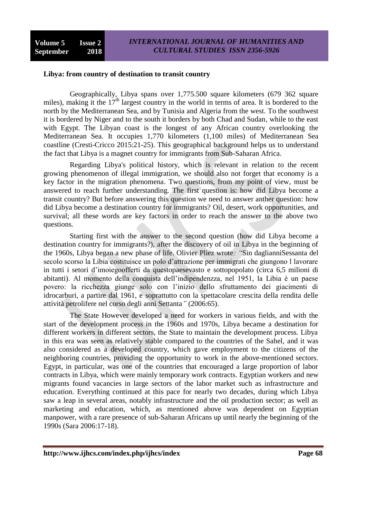#### **Libya: from country of destination to transit country**

Geographically, Libya spans over 1,775.500 square kilometers (679 362 square miles), making it the  $17<sup>th</sup>$  largest country in the world in terms of area. It is bordered to the north by the Mediterranean Sea, and by Tunisia and Algeria from the west. To the southwest it is bordered by Niger and to the south it borders by both Chad and Sudan, while to the east with Egypt. The Libyan coast is the longest of any African country overlooking the Mediterranean Sea. It occupies 1,770 kilometers (1,100 miles) of Mediterranean Sea coastline (Cresti-Cricco 2015:21-25). This geographical background helps us to understand the fact that Libya is a magnet country for immigrants from Sub-Saharan Africa.

Regarding Libya's political history, which is relevant in relation to the recent growing phenomenon of illegal immigration, we should also not forget that economy is a key factor in the migration phenomena. Two questions, from my point of view, must be answered to reach further understanding. The first question is: how did Libya become a transit country? But before answering this question we need to answer anther question: how did Libya become a destination country for immigrants? Oil, desert, work opportunities, and survival; all these words are key factors in order to reach the answer to the above two questions.

Starting first with the answer to the second question (how did Libya become a destination country for immigrants?), after the discovery of oil in Libya in the beginning of the 1960s, Libya began a new phase of life. Olivier Pliez wrote*: "*Sin daglianniSessanta del secolo scorso la Libia costituisce un polo d'attrazione per immigrati che giungono l lavorare in tutti i setori d'imoiegoofferti da questopaesevasto e sottopopolato (circa 6,5 milioni di abitanti). Al momento della conquista dell'indipendenzza, nel 1951, la Libia è un paese povero: la ricchezza giunge solo con l'inizio dello sfruttamento dei giacimenti di idrocarburi, a partire dal 1961, e soprattutto con la spettacolare crescita della rendita delle attività petrolifere nel corso degli anni Settanta*"* (2006:65).

The State However developed a need for workers in various fields, and with the start of the development process in the 1960s and 1970s, Libya became a destination for different workers in different sectors, the State to maintain the development process. Libya in this era was seen as relatively stable compared to the countries of the Sahel, and it was also considered as a developed country, which gave employment to the citizens of the neighboring countries, providing the opportunity to work in the above-mentioned sectors. Egypt, in particular, was one of the countries that encouraged a large proportion of labor contracts in Libya, which were mainly temporary work contracts. Egyptian workers and new migrants found vacancies in large sectors of the labor market such as infrastructure and education. Everything continued at this pace for nearly two decades, during which Libya saw a leap in several areas, notably infrastructure and the oil production sector; as well as marketing and education, which, as mentioned above was dependent on Egyptian manpower, with a rare presence of sub-Saharan Africans up until nearly the beginning of the 1990s (Sara 2006:17-18).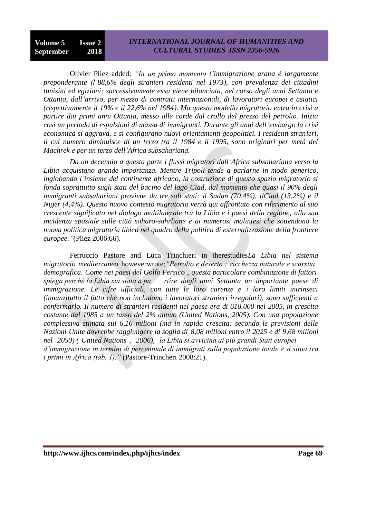## *INTERNATIONAL JOURNAL OF HUMANITIES AND CULTURAL STUDIES ISSN 2356-5926*

Olivier Pliez added: *"In un primo momento l'immigrazione araba è largamente preponderante (l'88,6% degli stranieri residenti nel 1973), con prevalenza dei cittadini tunisini ed egiziani; successivamente essa viene bilanciata, nel corso degli anni Settanta e Ottanta, dall'arrivo, per mezzo di contratti internazionali, di lavoratori europei e asiatici (rispettivamente il 19% e il 22,6% nel 1984). Ma questo modello migratorio entra in crisi a partire dai primi anni Ottanta, messo alle corde dal crollo del prezzo del petrolio. Inizia cosi un periodo di espulsioni di massa di immigranti. Durante gli anni dell'embargo la crisi economica si aggrava, e si configurano nuovi orientamenti geopolitici. I residenti stranieri, il cui numero diminuisce di un terzo tra il 1984 e il 1995, sono originari per metà del Machrek e per un terzo dell'Africa subsahariana.*

*Da un decennio a questa parte i flussi migratori dall'Africa subsahariana verso la Libia acquistano grande importanza. Mentre Tripoli tende a parlarne in modo generico, inglobando l'insieme del continente africano, la costruzione di questo spazio migratorio si fonda soprattutto sugli stati del bacino del lago Ciad, dal momento che quasi il 90% degli immigranti subsahariani proviene da tre soli stati: il Sudan (70,4%), ilCiad (13,2%) e il Niger (4,4%). Questo nuovo contesto migratorio verrà qui affrontato con riferimento al suo crescente significato nel dialogo multilaterale tra la Libia e i paesi della regione, alla sua incidenza spaziale sulle città saharo-sahrliane e ai numerosi malintesi che sottendono la nuova politica migratoria libica nel quadro della politica di esternalizzazione della frontiere europee."*(Pliez 2006:66).

Ferruccio Pastore and Luca Trinchieri in therestudies*La Libia nel sistema migratorio mediterraneo* howeverwrote:*"Petrolio e deserto : ricchezza naturale e scarsità demografica. Come nei paesi del Golfo Persico , questa particolare combinazione di fattori spiega perché la Libia sia stata a pa rtire dagli anni Settanta un importante paese di immigrazione. Le cifre ufficiali, con tutte le loro carenze e i loro limiti intrinseci (innanzitutto il fatto che non includono i lavoratori stranieri irregolari), sono sufficienti a confermarlo. Il numero di stranieri residenti nel paese era di 618.000 nel 2005, in crescita costante dal 1985 a un tasso del 2% annuo (United Nations, 2005). Con una popolazione complessiva stimata sui 6,16 milioni (ma in rapida crescita: secondo le previsioni delle Nazioni Unite dovrebbe raggiungere la soglia di 8,08 milioni entro il 2025 e di 9,68 milioni nel 2050) ( United Nations , 2006), la Libia si avvicina ai più grandi Stati europei d'immigrazione in termini di percentuale di immigrati sulla popolazione totale e si situa tra i primi in Africa (tab. 1)."* (Pastore-Trincheri 2008:21).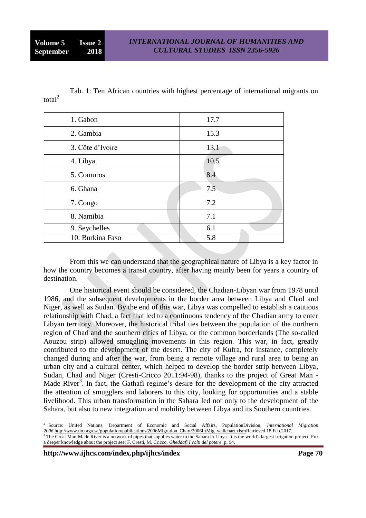Tab. 1: Ten African countries with highest percentage of international migrants on total<sup>2</sup>

| 1. Gabon         | 17.7 |
|------------------|------|
| 2. Gambia        | 15.3 |
| 3. Côte d'Ivoire | 13.1 |
| 4. Libya         | 10.5 |
| 5. Comoros       | 8.4  |
| 6. Ghana         | 7.5  |
| 7. Congo         | 7.2  |
| 8. Namibia       | 7.1  |
| 9. Seychelles    | 6.1  |
| 10. Burkina Faso | 5.8  |

From this we can understand that the geographical nature of Libya is a key factor in how the country becomes a transit country, after having mainly been for years a country of destination.

One historical event should be considered, the Chadian-Libyan war from 1978 until 1986, and the subsequent developments in the border area between Libya and Chad and Niger, as well as Sudan. By the end of this war, Libya was compelled to establish a cautious relationship with Chad, a fact that led to a continuous tendency of the Chadian army to enter Libyan territory. Moreover, the historical tribal ties between the population of the northern region of Chad and the southern cities of Libya, or the common borderlands (The so-called Aouzou strip) allowed smuggling movements in this region. This war, in fact, greatly contributed to the development of the desert. The city of Kufra, for instance, completely changed during and after the war, from being a remote village and rural area to being an urban city and a cultural center, which helped to develop the border strip between Libya, Sudan, Chad and Niger (Cresti-Cricco 2011:94-98), thanks to the project of Great Man - Made River<sup>3</sup>. In fact, the Gathafi regime's desire for the development of the city attracted the attention of smugglers and laborers to this city, looking for opportunities and a stable livelihood. This urban transformation in the Sahara led not only to the development of the Sahara, but also to new integration and mobility between Libya and its Southern countries.

**http://www.ijhcs.com/index.php/ijhcs/index Page 70**

<u>.</u>

<sup>2</sup> Source: United Nations, Department of Economic and Social Affairs, PopulationDivision, *International Migration 2006,*[http://www.un.org/esa/population/publications/2006Migration\\_Chart/2006IttMig\\_wallchart.xlsmR](http://www.un.org/esa/population/publications/2006Migration_Chart/2006IttMig_wallchart.xlsm)etrieved 18 Feb.2017.  $3$  The Great Man-Made River is a network of pipes that supplies water to the Sahara in Libya. It is the world's largest irrigation project. For a deeper knowledge about the project see: F. Cresti, M. Cricco, *Gheddafi I volti del potere,* p. 94.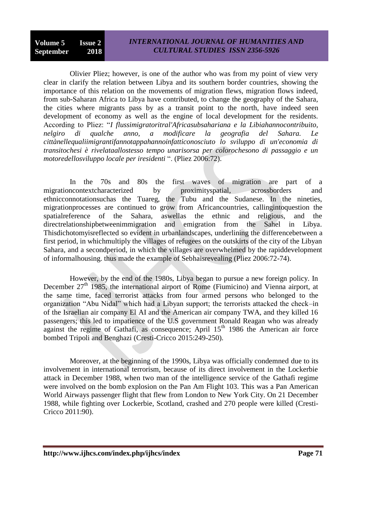Olivier Pliez; however, is one of the author who was from my point of view very clear in clarify the relation between Libya and its southern border countries, showing the importance of this relation on the movements of migration flews, migration flows indeed, from sub-Saharan Africa to Libya have contributed, to change the geography of the Sahara, the cities where migrants pass by as a transit point to the north, have indeed seen development of economy as well as the engine of local development for the residents. According to Pliez: "*I flussimigratoritral'Africasubsahariana e la Libiahannocontribuito, nelgiro di qualche anno, a modificare la geografia del Sahara. Le cittànellequaliimigrantifannotappahannoinfatticonosciuto lo sviluppo di un'economia di transitochesi è rivelataallostesso tempo unarisorsa per colorochesono di passaggio e un motoredellosviluppo locale per iresidenti* ". (Pliez 2006:72).

In the 70s and 80s the first waves of migration are part of a migrationcontextcharacterized by proximityspatial, acrossborders and ethnicconnotationsuchas the Tuareg, the Tubu and the Sudanese. In the nineties, migrationprocesses are continued to grow from Africancountries, callingintoquestion the spatialreference of the Sahara, aswellas the ethnic and religious, and the directrelationshipbetweenimmigration and emigration from the Sahel in Libya. Thisdichotomyisreflected so evident in urbanlandscapes, underlining the differencebetween a first period, in whichmultiply the villages of refugees on the outskirts of the city of the Libyan Sahara, and a secondperiod, in which the villages are overwhelmed by the rapiddevelopment of informalhousing. thus made the example of Sebhaisrevealing (Pliez 2006:72-74).

However, by the end of the 1980s, Libya began to pursue a new foreign policy. In December  $27<sup>th</sup>$  1985, the international airport of Rome (Fiumicino) and Vienna airport, at the same time, faced terrorist attacks from four armed persons who belonged to the organization "Abu Nidal" which had a Libyan support; the terrorists attacked the check–in of the Israelian air company El AI and the American air company TWA, and they killed 16 passengers; this led to impatience of the U.S government Ronald Reagan who was already against the regime of Gathafi, as consequence; April  $15<sup>th</sup>$  1986 the American air force bombed Tripoli and Benghazi (Cresti-Cricco 2015:249-250).

Moreover, at the beginning of the 1990s, Libya was officially condemned due to its involvement in international terrorism, because of its direct involvement in the Lockerbie attack in December 1988, when two man of the intelligence service of the Gathafi regime were involved on the bomb explosion on the Pan Am Flight 103. This was a Pan American World Airways passenger flight that flew from London to New York City. On 21 December 1988, while fighting over Lockerbie, Scotland, crashed and 270 people were killed (Cresti-Cricco 2011:90).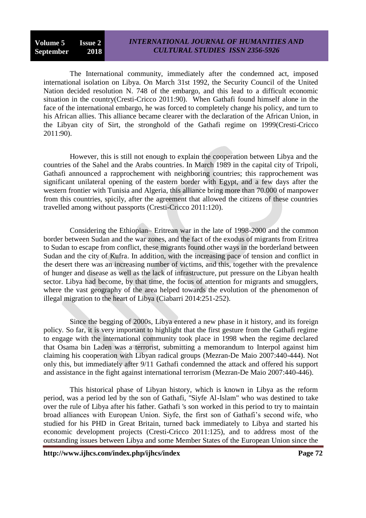## *INTERNATIONAL JOURNAL OF HUMANITIES AND CULTURAL STUDIES ISSN 2356-5926*

The International community, immediately after the condemned act, imposed international isolation on Libya. On March 31st 1992, the Security Council of the United Nation decided resolution N. 748 of the embargo, and this lead to a difficult economic situation in the country(Cresti-Cricco 2011:90). When Gathafi found himself alone in the face of the international embargo, he was forced to completely change his policy, and turn to his African allies. This alliance became clearer with the declaration of the African Union, in the Libyan city of Sirt, the stronghold of the Gathafi regime on 1999(Cresti-Cricco 2011:90).

However, this is still not enough to explain the cooperation between Libya and the countries of the Sahel and the Arabs countries. In March 1989 in the capital city of Tripoli, Gathafi announced a rapprochement with neighboring countries; this rapprochement was significant unilateral opening of the eastern border with Egypt, and a few days after the western frontier with Tunisia and Algeria, this alliance bring more than 70.000 of manpower from this countries, spicily, after the agreement that allowed the citizens of these countries travelled among without passports (Cresti-Cricco 2011:120).

Considering the Ethiopian– Eritrean war in the late of 1998-2000 and the common border between Sudan and the war zones, and the fact of the exodus of migrants from Eritrea to Sudan to escape from conflict, these migrants found other ways in the borderland between Sudan and the city of Kufra. In addition, with the increasing pace of tension and conflict in the desert there was an increasing number of victims, and this, together with the prevalence of hunger and disease as well as the lack of infrastructure, put pressure on the Libyan health sector. Libya had become, by that time, the focus of attention for migrants and smugglers, where the vast geography of the area helped towards the evolution of the phenomenon of illegal migration to the heart of Libya (Ciabarri 2014:251-252).

Since the begging of 2000s, Libya entered a new phase in it history, and its foreign policy. So far, it is very important to highlight that the first gesture from the Gathafi regime to engage with the international community took place in 1998 when the regime declared that Osama bin Laden was a terrorist, submitting a memorandum to Interpol against him claiming his cooperation with Libyan radical groups (Mezran-De Maio 2007:440-444). Not only this, but immediately after 9/11 Gathafi condemned the attack and offered his support and assistance in the fight against international terrorism (Mezran-De Maio 2007:440-446).

This historical phase of Libyan history, which is known in Libya as the reform period, was a period led by the son of Gathafi, "Siyfe Al-Islam" who was destined to take over the rule of Libya after his father. Gathafi 's son worked in this period to try to maintain broad alliances with European Union. Siyfe, the first son of Gathafi's second wife, who studied for his PHD in Great Britain, turned back immediately to Libya and started his economic development projects (Cresti-Cricco 2011:125), and to address most of the outstanding issues between Libya and some Member States of the European Union since the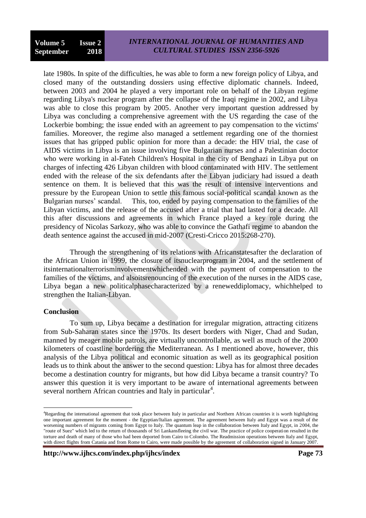late 1980s. In spite of the difficulties, he was able to form a new foreign policy of Libya, and closed many of the outstanding dossiers using effective diplomatic channels. Indeed, between 2003 and 2004 he played a very important role on behalf of the Libyan regime regarding Libya's nuclear program after the collapse of the Iraqi regime in 2002, and Libya was able to close this program by 2005. Another very important question addressed by Libya was concluding a comprehensive agreement with the US regarding the case of the [Lockerbie bombing;](http://en.wikipedia.org/wiki/Lockerbie_bombing) the issue ended with an agreement to pay compensation to the victims' families. Moreover, the regime also managed a settlement regarding one of the thorniest issues that has gripped public opinion for more than a decade: the HIV trial, the case of AIDS victims in Libya is an issue involving five Bulgarian nurses and a Palestinian doctor who were working in al-Fateh Children's Hospital in the city of Benghazi in Libya put on charges of infecting 426 Libyan children with blood contaminated with HIV. The settlement ended with the release of the six defendants after the Libyan judiciary had issued a death sentence on them. It is believed that this was the result of intensive interventions and pressure by the European Union to settle this famous social-political scandal known as the Bulgarian nurses' scandal. This, too, ended by paying compensation to the families of the Libyan victims, and the release of the accused after a trial that had lasted for a decade. All this after discussions and agreements in which France played a key role during the presidency of Nicolas Sarkozy, who was able to convince the Gathafi regime to abandon the death sentence against the accused in mid-2007 (Cresti-Cricco 2015:268-270).

Through the strengthening of its relations with Africanstatesafter the declaration of the African Union in 1999, the closure of itsnuclearprogram in 2004, and the settlement of itsinternationalterrorisminvolvementwhichended with the payment of compensation to the families of the victims, and alsoitsrenouncing of the execution of the nurses in the AIDS case, Libya began a new politicalphasecharacterized by a reneweddiplomacy, whichhelped to strengthen the Italian-Libyan.

#### **Conclusion**

<u>.</u>

To sum up, Libya became a destination for irregular migration, attracting citizens from Sub-Saharan states since the 1970s. Its desert borders with Niger, Chad and Sudan, manned by meager mobile patrols, are virtually uncontrollable, as well as much of the 2000 kilometers of coastline bordering the Mediterranean. As I mentioned above, however, this analysis of the Libya political and economic situation as well as its geographical position leads us to think about the answer to the second question: Libya has for almost three decades become a destination country for migrants, but how did Libya became a transit country? To answer this question it is very important to be aware of international agreements between several northern African countries and Italy in particular<sup>4</sup>.

**http://www.ijhcs.com/index.php/ijhcs/index Page 73**

<sup>4</sup>Regarding the international agreement that took place between Italy in particular and Northern African countries it is worth highlighting one important agreement for the moment - the Egyptian/Italian agreement. The agreement between Italy and Egypt was a result of the worsening numbers of migrants coming from Egypt to Italy. The quantum leap in the collaboration between Italy and Egypt, in 2004, the "route of Suez" which led to the return of thousands of Sri Lankansfleeing the civil war. The practice of police cooperation resulted in the torture and death of many of those who had been deported from Cairo to Colombo. The Readmission operations between Italy and Egypt, with direct flights from Catania and from Rome to Cairo, were made possible by the agreement of collaboration signed in January 2007.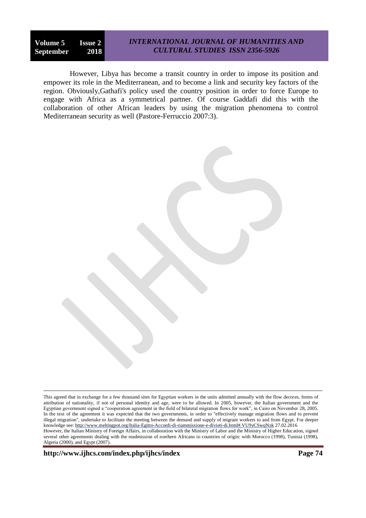#### *INTERNATIONAL JOURNAL OF HUMANITIES AND CULTURAL STUDIES ISSN 2356-5926*

However, Libya has become a transit country in order to impose its position and empower its role in the Mediterranean, and to become a link and security key factors of the region. Obviously,Gathafi's policy used the country position in order to force Europe to engage with Africa as a symmetrical partner. Of course Gaddafi did this with the collaboration of other African leaders by using the migration phenomena to control Mediterranean security as well (Pastore-Ferruccio 2007:3).

**http://www.ijhcs.com/index.php/ijhcs/index Page 74**

1

This agreed that in exchange for a few thousand sites for Egyptian workers in the units admitted annually with the flow decrees, forms of attribution of nationality, if not of personal identity and age, were to be allowed. In 2005, however, the Italian government and the Egyptian government signed a "cooperation agreement in the field of bilateral migration flows for work", in Cairo on November 28, 2005. In the text of the agreement it was expected that the two governments, in order to "effectively manage migration flows and to prevent illegal migration", undertake to facilitate the meeting between the demand and supply of migrant workers to and from Egypt. For deeper knowledge see: http://www.meltingpot.org/Italia-Egitto-Accordi-di-riammissione-e-divieti-di.html#.VU9yCSwqNzk 27.02.2016 However, the Italian Ministry of Foreign Affairs, in collaboration with the Ministry of Labor and the Ministry of Higher Education, signed several other agreements dealing with the readmission of northern Africans to countries of origin: with Morocco (1998), Tunisia (1998), Algeria (2000), and Egypt (2007).